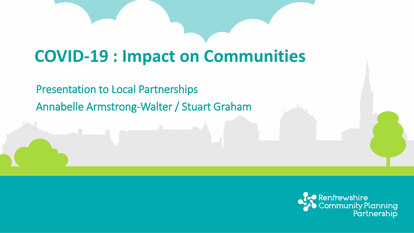#### **COVID-19 : Impact on Communities**

Presentation to Local Partnerships

Annabelle Armstrong-Walter / Stuart Graham

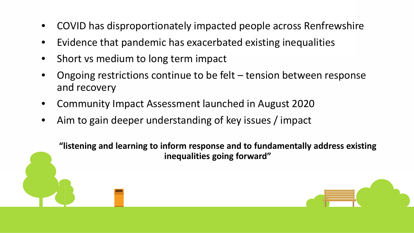- COVID has disproportionately impacted people across Renfrewshire
- Evidence that pandemic has exacerbated existing inequalities
- Short vs medium to long term impact
- Ongoing restrictions continue to be felt  $-$  tension between response and recovery
- Community Impact Assessment launched in August 2020
- Aim to gain deeper understanding of key issues / impact

**"listening and learning to inform response and to fundamentally address existing inequalities going forward"**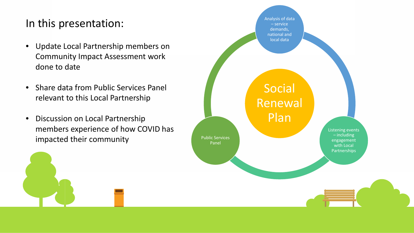#### In this presentation:

- Update Local Partnership members on Community Impact Assessment work done to date
- Share data from Public Services Panel relevant to this Local Partnership
- Discussion on Local Partnership members experience of how COVID has impacted their community

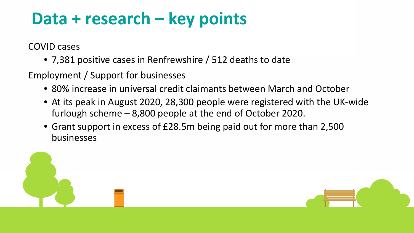#### **Data + research – key points**

COVID cases

• 7,381 positive cases in Renfrewshire / 512 deaths to date

Employment / Support for businesses

- 80% increase in universal credit claimants between March and October
- At its peak in August 2020, 28,300 people were registered with the UK-wide furlough scheme – 8,800 people at the end of October 2020.
- Grant support in excess of £28.5m being paid out for more than 2,500 businesses

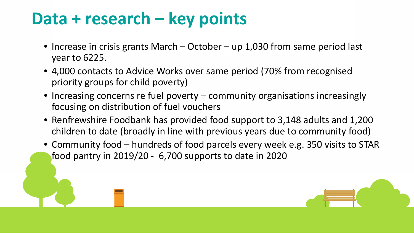#### **Data + research – key points**

- Increase in crisis grants March October up 1,030 from same period last year to 6225.
- 4,000 contacts to Advice Works over same period (70% from recognised priority groups for child poverty)
- Increasing concerns re fuel poverty community organisations increasingly focusing on distribution of fuel vouchers
- Renfrewshire Foodbank has provided food support to 3,148 adults and 1,200 children to date (broadly in line with previous years due to community food)
- Community food hundreds of food parcels every week e.g. 350 visits to STAR food pantry in 2019/20 - 6,700 supports to date in 2020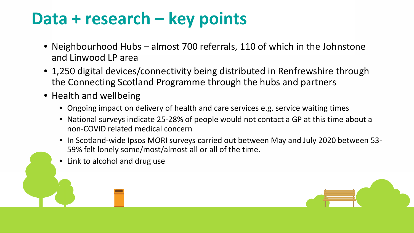#### **Data + research – key points**

- Neighbourhood Hubs almost 700 referrals, 110 of which in the Johnstone and Linwood LP area
- 1,250 digital devices/connectivity being distributed in Renfrewshire through the Connecting Scotland Programme through the hubs and partners
- Health and wellbeing
	- Ongoing impact on delivery of health and care services e.g. service waiting times
	- National surveys indicate 25-28% of people would not contact a GP at this time about a non-COVID related medical concern
	- In Scotland-wide Ipsos MORI surveys carried out between May and July 2020 between 53- 59% felt lonely some/most/almost all or all of the time.
	- Link to alcohol and drug use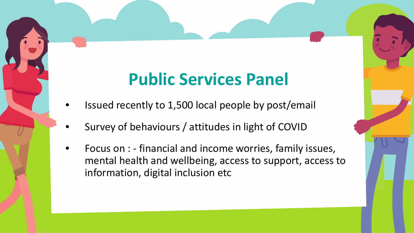### **Public Services Panel**

- Issued recently to 1,500 local people by post/email
- Survey of behaviours / attitudes in light of COVID
- Focus on : financial and income worries, family issues, mental health and wellbeing, access to support, access to information, digital inclusion etc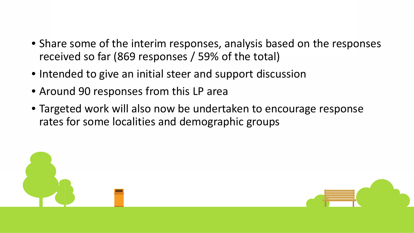- Share some of the interim responses, analysis based on the responses received so far (869 responses / 59% of the total)
- Intended to give an initial steer and support discussion
- Around 90 responses from this LP area
- Targeted work will also now be undertaken to encourage response rates for some localities and demographic groups

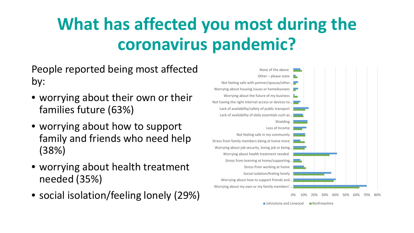# **What has affected you most during the coronavirus pandemic?**

People reported being most affected by:

- worrying about their own or their families future (63%)
- worrying about how to support family and friends who need help (38%)
- worrying about health treatment needed (35%)
- 



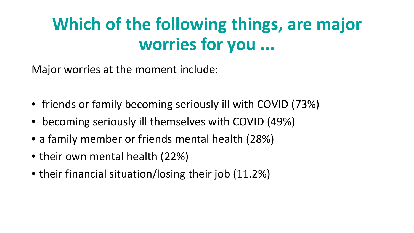## **Which of the following things, are major worries for you ...**

Major worries at the moment include:

- friends or family becoming seriously ill with COVID (73%)
- becoming seriously ill themselves with COVID (49%)
- a family member or friends mental health (28%)
- their own mental health (22%)
- their financial situation/losing their job (11.2%)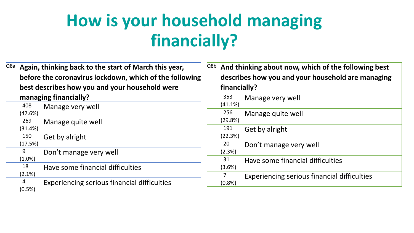### **How is your household managing financially?**

| Q8a | Again, thinking back to the start of March this year,<br>before the coronavirus lockdown, which of the following<br>best describes how you and your household were<br>managing financially? |                                                    |  |
|-----|---------------------------------------------------------------------------------------------------------------------------------------------------------------------------------------------|----------------------------------------------------|--|
|     |                                                                                                                                                                                             |                                                    |  |
|     |                                                                                                                                                                                             |                                                    |  |
|     | 408                                                                                                                                                                                         | Manage very well                                   |  |
|     | (47.6%)                                                                                                                                                                                     |                                                    |  |
|     | 269                                                                                                                                                                                         | Manage quite well                                  |  |
|     | (31.4%)                                                                                                                                                                                     |                                                    |  |
|     | 150                                                                                                                                                                                         | Get by alright                                     |  |
|     | (17.5%)                                                                                                                                                                                     |                                                    |  |
|     | 9                                                                                                                                                                                           | Don't manage very well                             |  |
|     | $(1.0\%)$                                                                                                                                                                                   |                                                    |  |
|     | 18                                                                                                                                                                                          | Have some financial difficulties                   |  |
|     | $(2.1\%)$                                                                                                                                                                                   |                                                    |  |
|     | 4                                                                                                                                                                                           | <b>Experiencing serious financial difficulties</b> |  |
|     | $(0.5\%)$                                                                                                                                                                                   |                                                    |  |

| Q8b | And thinking about now, which of the following best<br>describes how you and your household are managing<br>financially? |                                             |
|-----|--------------------------------------------------------------------------------------------------------------------------|---------------------------------------------|
|     | 353<br>(41.1%)                                                                                                           | Manage very well                            |
|     | 256<br>(29.8%)                                                                                                           | Manage quite well                           |
|     | 191<br>(22.3%)                                                                                                           | Get by alright                              |
|     | 20<br>(2.3%)                                                                                                             | Don't manage very well                      |
|     | 31<br>(3.6%)                                                                                                             | Have some financial difficulties            |
|     | 7<br>(0.8% )                                                                                                             | Experiencing serious financial difficulties |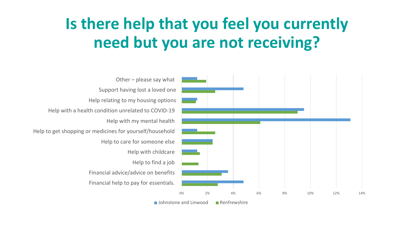#### **Is there help that you feel you currently need but you are not receiving?**

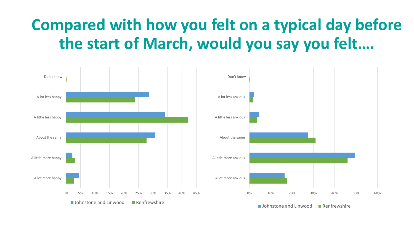#### **Compared with how you felt on a typical day before the start of March, would you say you felt….**

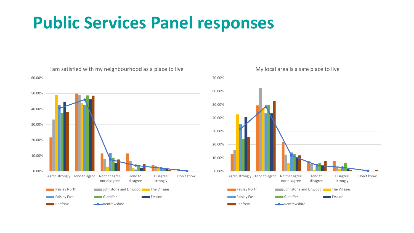



#### My local area is a safe place to live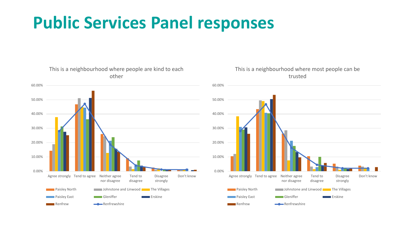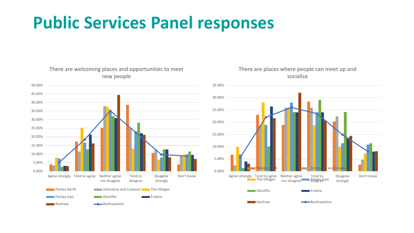

#### There are welcoming places and opportunities to meet new people



There are places where people can meet up and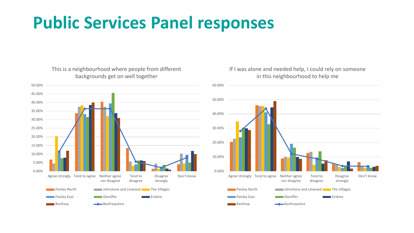This is a neighbourhood where people from different backgrounds get on well together



#### If I was alone and needed help, I could rely on someone in this neighbourhood to help me

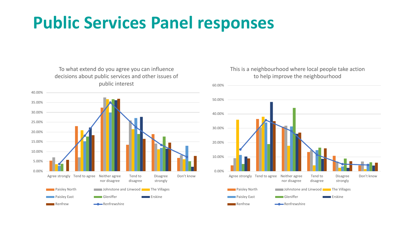To what extend do you agree you can influence decisions about public services and other issues of public interest



#### This is a neighbourhood where local people take action to help improve the neighbourhood

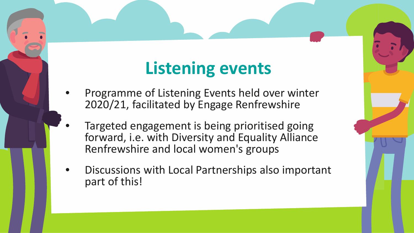## **Listening events**

- Programme of Listening Events held over winter 2020/21, facilitated by Engage Renfrewshire
- Targeted engagement is being prioritised going forward, i.e. with Diversity and Equality Alliance Renfrewshire and local women's groups
- Discussions with Local Partnerships also important part of this!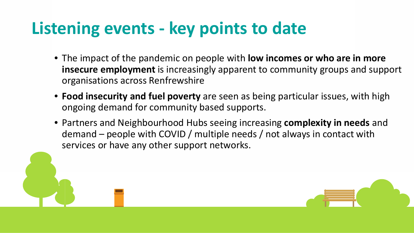### **Listening events - key points to date**

- The impact of the pandemic on people with **low incomes or who are in more insecure employment** is increasingly apparent to community groups and support organisations across Renfrewshire
- **Food insecurity and fuel poverty** are seen as being particular issues, with high ongoing demand for community based supports.
- Partners and Neighbourhood Hubs seeing increasing **complexity in needs** and demand – people with COVID / multiple needs / not always in contact with services or have any other support networks.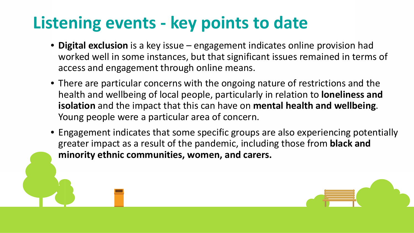## **Listening events - key points to date**

- **Digital exclusion** is a key issue engagement indicates online provision had worked well in some instances, but that significant issues remained in terms of access and engagement through online means.
- There are particular concerns with the ongoing nature of restrictions and the health and wellbeing of local people, particularly in relation to **loneliness and isolation** and the impact that this can have on **mental health and wellbeing**. Young people were a particular area of concern.
- Engagement indicates that some specific groups are also experiencing potentially greater impact as a result of the pandemic, including those from **black and minority ethnic communities, women, and carers.**